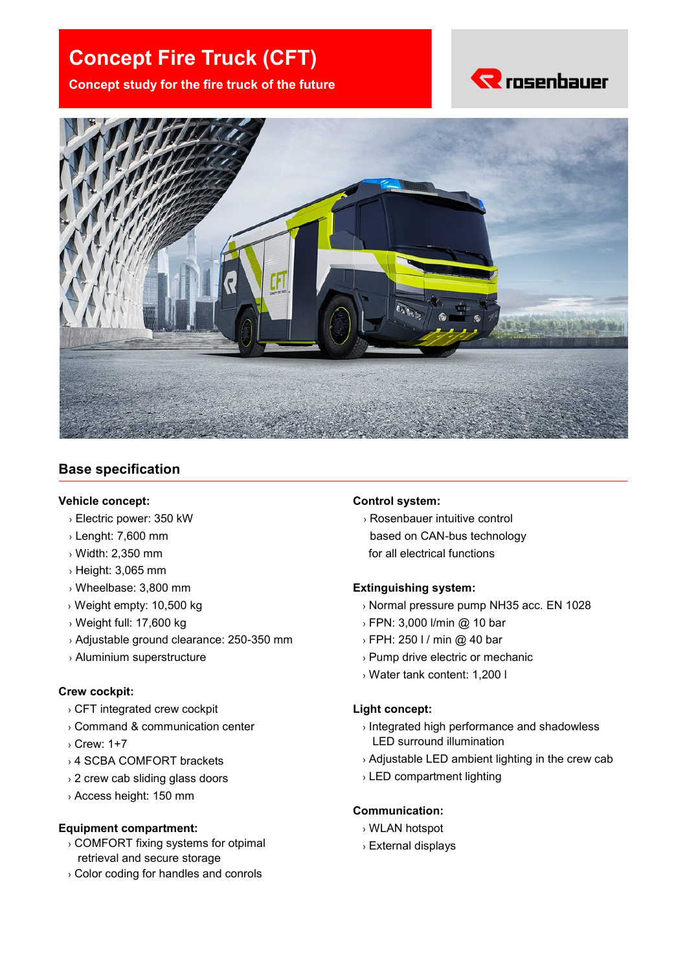# **Concept Fire Truck (CFT)**

**Concept study for the fire truck of the future**





## **Base specification**

#### **Vehicle concept:**

- › Electric power: 350 kW
- › Lenght: 7,600 mm
- › Width: 2,350 mm
- › Height: 3,065 mm
- › Wheelbase: 3,800 mm
- › Weight empty: 10,500 kg
- › Weight full: 17,600 kg
- › Adjustable ground clearance: 250-350 mm
- › Aluminium superstructure

#### **Crew cockpit:**

- › CFT integrated crew cockpit
- › Command & communication center
- › Crew: 1+7
- › 4 SCBA COMFORT brackets
- › 2 crew cab sliding glass doors
- › Access height: 150 mm

#### **Equipment compartment:**

- › COMFORT fixing systems for otpimal retrieval and secure storage
- › Color coding for handles and conrols

#### **Control system:**

› Rosenbauer intuitive control based on CAN-bus technology for all electrical functions

#### **Extinguishing system:**

- › Normal pressure pump NH35 acc. EN 1028
- › FPN: 3,000 l/min @ 10 bar
- › FPH: 250 l / min @ 40 bar
- › Pump drive electric or mechanic
- › Water tank content: 1,200 l

#### **Light concept:**

- › Integrated high performance and shadowless LED surround illumination
- › Adjustable LED ambient lighting in the crew cab
- › LED compartment lighting

#### **Communication:**

- › WLAN hotspot
- › External displays